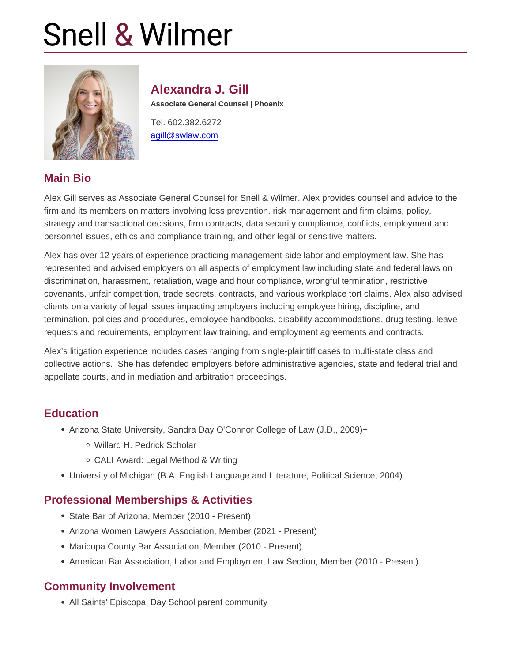# Alexandra J. Gill Associate General Counsel | Phoenix Tel. 602.382.6272

[agill@swlaw.com](mailto:agill@swlaw.com)

## Main Bio

Alex Gill serves as Associate General Counsel for Snell & Wilmer. Alex provides counsel and advice to the firm and its members on matters involving loss prevention, risk management and firm claims, policy, strategy and transactional decisions, firm contracts, data security compliance, conflicts, employment and personnel issues, ethics and compliance training, and other legal or sensitive matters.

Alex has over 12 years of experience practicing management-side labor and employment law. She has represented and advised employers on all aspects of employment law including state and federal laws on discrimination, harassment, retaliation, wage and hour compliance, wrongful termination, restrictive covenants, unfair competition, trade secrets, contracts, and various workplace tort claims. Alex also advised clients on a variety of legal issues impacting employers including employee hiring, discipline, and termination, policies and procedures, employee handbooks, disability accommodations, drug testing, leave requests and requirements, employment law training, and employment agreements and contracts.

Alex's litigation experience includes cases ranging from single-plaintiff cases to multi-state class and collective actions. She has defended employers before administrative agencies, state and federal trial and appellate courts, and in mediation and arbitration proceedings.

### **Education**

- Arizona State University, Sandra Day O'Connor College of Law (J.D., 2009)+
	- Willard H. Pedrick Scholar
	- CALI Award: Legal Method & Writing
- University of Michigan (B.A. English Language and Literature, Political Science, 2004)

## Professional Memberships & Activities

- State Bar of Arizona, Member (2010 Present)
- Arizona Women Lawyers Association, Member (2021 Present)
- Maricopa County Bar Association, Member (2010 Present)
- American Bar Association, Labor and Employment Law Section, Member (2010 Present)

### Community Involvement

All Saints' Episcopal Day School parent community